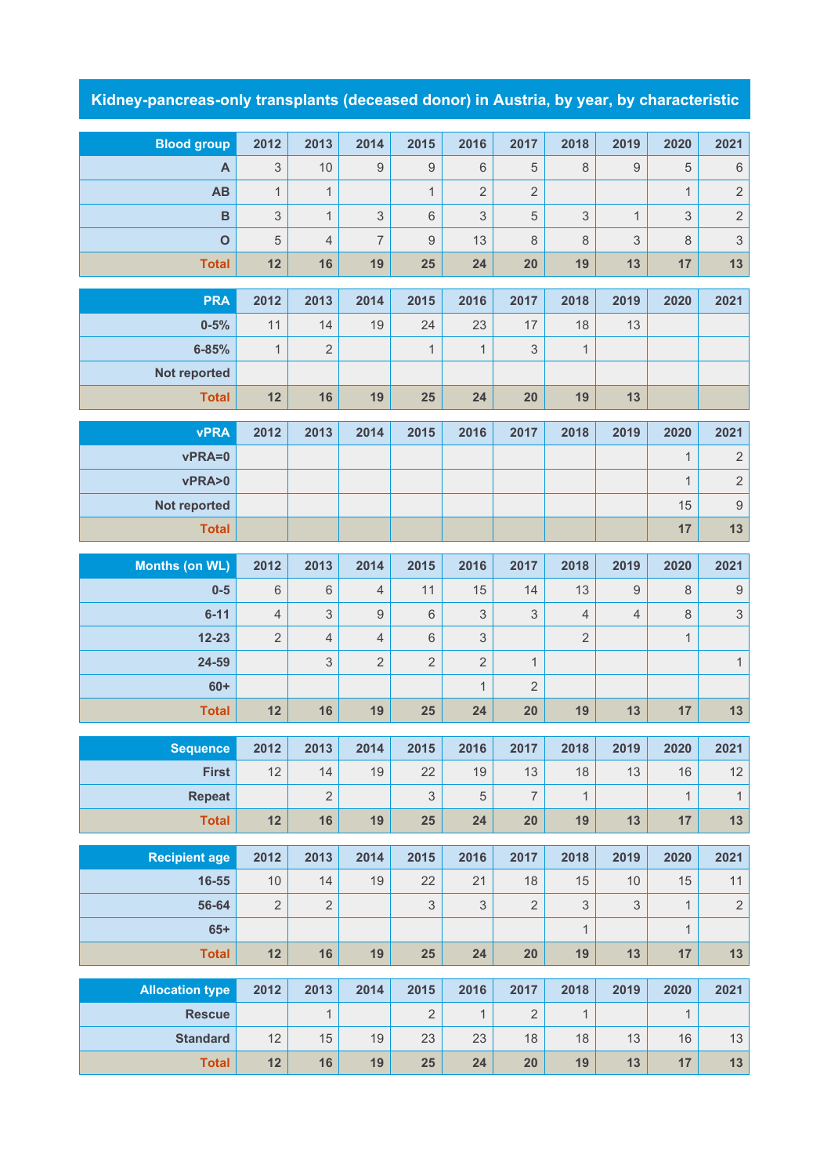## **Kidney-pancreas-only transplants (deceased donor) in Austria, by year, by characteristic**

| <b>Blood group</b>     | 2012                      | 2013           | 2014           | 2015           | 2016           | 2017           | 2018           | 2019           | 2020         | 2021                      |
|------------------------|---------------------------|----------------|----------------|----------------|----------------|----------------|----------------|----------------|--------------|---------------------------|
| A                      | $\ensuremath{\mathsf{3}}$ | 10             | 9              | 9              | 6              | 5              | 8              | $\hbox{9}$     | 5            | $\,6\,$                   |
| <b>AB</b>              | $\mathbf{1}$              | $\mathbf{1}$   |                | $\mathbf{1}$   | $\overline{2}$ | $\overline{2}$ |                |                | $\mathbf{1}$ | $\sqrt{2}$                |
| $\overline{B}$         | $\mathfrak{S}$            | $\mathbf{1}$   | 3              | 6              | 3              | 5              | 3              | $\mathbf{1}$   | $\mathsf 3$  | $\sqrt{2}$                |
| $\mathbf 0$            | 5                         | $\overline{4}$ | $\overline{7}$ | $\overline{9}$ | 13             | 8              | 8              | 3              | $\,8\,$      | $\sqrt{3}$                |
| <b>Total</b>           | 12                        | 16             | 19             | 25             | 24             | 20             | 19             | 13             | 17           | 13                        |
| <b>PRA</b>             | 2012                      | 2013           | 2014           | 2015           | 2016           | 2017           | 2018           | 2019           | 2020         | 2021                      |
| $0 - 5%$               | 11                        | 14             | 19             | 24             | 23             | 17             | 18             | 13             |              |                           |
| $6 - 85%$              | $\mathbf{1}$              | $\overline{2}$ |                | $\mathbf{1}$   | $\mathbf{1}$   | $\mathsf 3$    | $\mathbf{1}$   |                |              |                           |
| <b>Not reported</b>    |                           |                |                |                |                |                |                |                |              |                           |
| <b>Total</b>           | 12                        | 16             | 19             | 25             | 24             | 20             | 19             | 13             |              |                           |
|                        |                           |                |                |                |                |                |                |                |              |                           |
| <b>vPRA</b>            | 2012                      | 2013           | 2014           | 2015           | 2016           | 2017           | 2018           | 2019           | 2020         | 2021                      |
| vPRA=0                 |                           |                |                |                |                |                |                |                | $\mathbf{1}$ | $\sqrt{2}$                |
| vPRA>0                 |                           |                |                |                |                |                |                |                | $\mathbf{1}$ | $\sqrt{2}$                |
| Not reported           |                           |                |                |                |                |                |                |                | 15           | $\boldsymbol{9}$          |
| <b>Total</b>           |                           |                |                |                |                |                |                |                | 17           | 13                        |
| <b>Months (on WL)</b>  | 2012                      | 2013           | 2014           | 2015           | 2016           | 2017           | 2018           | 2019           | 2020         | 2021                      |
| $0-5$                  | 6                         | 6              | $\overline{4}$ | 11             | 15             | 14             | 13             | $\hbox{9}$     | $\,8\,$      | $\boldsymbol{9}$          |
| $6 - 11$               | $\overline{4}$            | 3              | $\overline{9}$ | $\,6\,$        | 3              | 3              | $\overline{4}$ | $\overline{4}$ | $\,8\,$      | $\ensuremath{\mathsf{3}}$ |
| $12 - 23$              | $\sqrt{2}$                | $\overline{4}$ | $\overline{4}$ | 6              | $\mathsf 3$    |                | $\sqrt{2}$     |                | $\mathbf{1}$ |                           |
| 24-59                  |                           | 3              | $\overline{2}$ | $\overline{2}$ | $\overline{2}$ | $\mathbf{1}$   |                |                |              | $\mathbf 1$               |
| $60+$                  |                           |                |                |                | $\mathbf{1}$   | $\overline{2}$ |                |                |              |                           |
| <b>Total</b>           | 12                        | 16             | 19             | 25             | 24             | 20             | 19             | 13             | 17           | 13                        |
| <b>Sequence</b>        | 2012                      | 2013           | 2014           | 2015           | 2016           | 2017           | 2018           | 2019           | 2020         | 2021                      |
| <b>First</b>           | 12                        | 14             | 19             | 22             | 19             | 13             | 18             | 13             | 16           | 12                        |
| <b>Repeat</b>          |                           | $\overline{2}$ |                | $\mathfrak{S}$ | $\sqrt{5}$     | $\overline{7}$ | $\mathbf{1}$   |                | $\mathbf{1}$ | $\mathbf{1}$              |
| <b>Total</b>           | 12                        | 16             | 19             | 25             | 24             | 20             | 19             | 13             | 17           | $13$                      |
|                        |                           |                |                |                |                |                |                |                |              |                           |
| <b>Recipient age</b>   | 2012                      | 2013           | 2014           | 2015           | 2016           | 2017           | 2018           | 2019           | 2020         | 2021                      |
| 16-55                  | $10$                      | 14             | 19             | 22             | 21             | 18             | 15             | $10$           | 15           | 11                        |
| 56-64                  | $\sqrt{2}$                | $\overline{2}$ |                | $\mathsf 3$    | $\mathsf 3$    | $\sqrt{2}$     | $\mathsf 3$    | 3              | $\mathbf{1}$ | $\sqrt{2}$                |
| $65+$                  |                           |                |                |                |                |                | $\mathbf{1}$   |                | $\mathbf{1}$ |                           |
| <b>Total</b>           | 12                        | 16             | 19             | 25             | 24             | 20             | 19             | 13             | 17           | 13                        |
| <b>Allocation type</b> | 2012                      | 2013           | 2014           | 2015           | 2016           | 2017           | 2018           | 2019           | 2020         | 2021                      |
| <b>Rescue</b>          |                           | $\mathbf{1}$   |                | $\overline{2}$ | $\mathbf{1}$   | $\overline{2}$ | $\mathbf{1}$   |                | $\mathbf{1}$ |                           |
| <b>Standard</b>        | 12                        | 15             | 19             | 23             | 23             | 18             | 18             | 13             | $16\,$       | 13                        |
| <b>Total</b>           | 12                        | 16             | 19             | 25             | 24             | 20             | 19             | $13$           | 17           | 13                        |